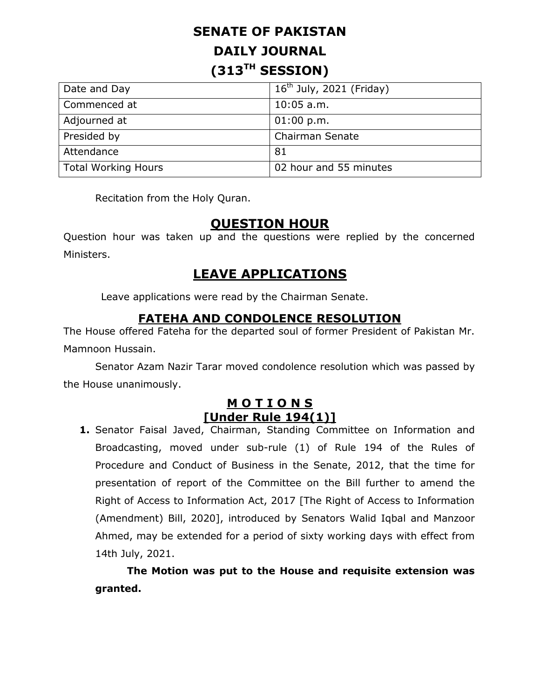# **SENATE OF PAKISTAN DAILY JOURNAL (313TH SESSION)**

| Date and Day        | $16th$ July, 2021 (Friday) |
|---------------------|----------------------------|
| Commenced at        | $10:05$ a.m.               |
| Adjourned at        | 01:00 p.m.                 |
| Presided by         | <b>Chairman Senate</b>     |
| Attendance          | -81                        |
| Total Working Hours | 02 hour and 55 minutes     |

Recitation from the Holy Quran.

#### **QUESTION HOUR**

Question hour was taken up and the questions were replied by the concerned Ministers.

### **LEAVE APPLICATIONS**

Leave applications were read by the Chairman Senate.

#### **FATEHA AND CONDOLENCE RESOLUTION**

The House offered Fateha for the departed soul of former President of Pakistan Mr. Mamnoon Hussain.

Senator Azam Nazir Tarar moved condolence resolution which was passed by the House unanimously.

#### **M O T I O N S [Under Rule 194(1)]**

**1.** Senator Faisal Javed, Chairman, Standing Committee on Information and Broadcasting, moved under sub-rule (1) of Rule 194 of the Rules of Procedure and Conduct of Business in the Senate, 2012, that the time for presentation of report of the Committee on the Bill further to amend the Right of Access to Information Act, 2017 [The Right of Access to Information (Amendment) Bill, 2020], introduced by Senators Walid Iqbal and Manzoor Ahmed, may be extended for a period of sixty working days with effect from 14th July, 2021.

**The Motion was put to the House and requisite extension was granted.**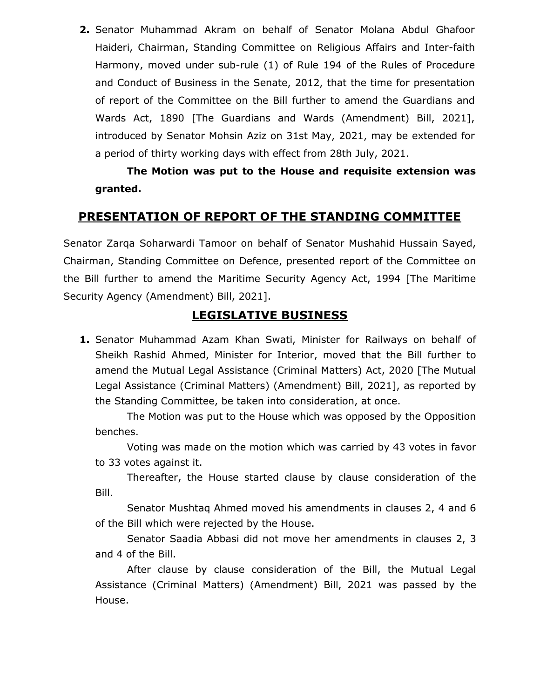**2.** Senator Muhammad Akram on behalf of Senator Molana Abdul Ghafoor Haideri, Chairman, Standing Committee on Religious Affairs and Inter-faith Harmony, moved under sub-rule (1) of Rule 194 of the Rules of Procedure and Conduct of Business in the Senate, 2012, that the time for presentation of report of the Committee on the Bill further to amend the Guardians and Wards Act, 1890 [The Guardians and Wards (Amendment) Bill, 2021], introduced by Senator Mohsin Aziz on 31st May, 2021, may be extended for a period of thirty working days with effect from 28th July, 2021.

**The Motion was put to the House and requisite extension was granted.** 

#### **PRESENTATION OF REPORT OF THE STANDING COMMITTEE**

Senator Zarqa Soharwardi Tamoor on behalf of Senator Mushahid Hussain Sayed, Chairman, Standing Committee on Defence, presented report of the Committee on the Bill further to amend the Maritime Security Agency Act, 1994 [The Maritime Security Agency (Amendment) Bill, 2021].

#### **LEGISLATIVE BUSINESS**

**1.** Senator Muhammad Azam Khan Swati, Minister for Railways on behalf of Sheikh Rashid Ahmed, Minister for Interior, moved that the Bill further to amend the Mutual Legal Assistance (Criminal Matters) Act, 2020 [The Mutual Legal Assistance (Criminal Matters) (Amendment) Bill, 2021], as reported by the Standing Committee, be taken into consideration, at once.

The Motion was put to the House which was opposed by the Opposition benches.

Voting was made on the motion which was carried by 43 votes in favor to 33 votes against it.

Thereafter, the House started clause by clause consideration of the Bill.

Senator Mushtaq Ahmed moved his amendments in clauses 2, 4 and 6 of the Bill which were rejected by the House.

Senator Saadia Abbasi did not move her amendments in clauses 2, 3 and 4 of the Bill.

After clause by clause consideration of the Bill, the Mutual Legal Assistance (Criminal Matters) (Amendment) Bill, 2021 was passed by the House.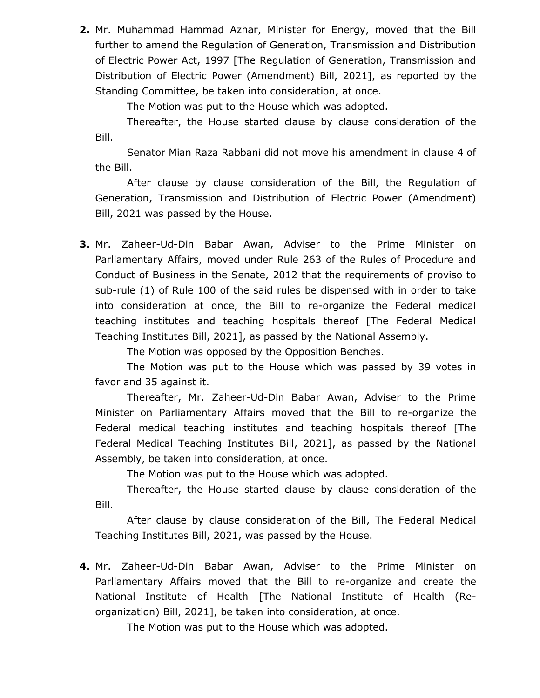**2.** Mr. Muhammad Hammad Azhar, Minister for Energy, moved that the Bill further to amend the Regulation of Generation, Transmission and Distribution of Electric Power Act, 1997 [The Regulation of Generation, Transmission and Distribution of Electric Power (Amendment) Bill, 2021], as reported by the Standing Committee, be taken into consideration, at once.

The Motion was put to the House which was adopted.

Thereafter, the House started clause by clause consideration of the Bill.

Senator Mian Raza Rabbani did not move his amendment in clause 4 of the Bill.

After clause by clause consideration of the Bill, the Regulation of Generation, Transmission and Distribution of Electric Power (Amendment) Bill, 2021 was passed by the House.

**3.** Mr. Zaheer-Ud-Din Babar Awan, Adviser to the Prime Minister on Parliamentary Affairs, moved under Rule 263 of the Rules of Procedure and Conduct of Business in the Senate, 2012 that the requirements of proviso to sub-rule (1) of Rule 100 of the said rules be dispensed with in order to take into consideration at once, the Bill to re-organize the Federal medical teaching institutes and teaching hospitals thereof [The Federal Medical Teaching Institutes Bill, 2021], as passed by the National Assembly.

The Motion was opposed by the Opposition Benches.

The Motion was put to the House which was passed by 39 votes in favor and 35 against it.

Thereafter, Mr. Zaheer-Ud-Din Babar Awan, Adviser to the Prime Minister on Parliamentary Affairs moved that the Bill to re-organize the Federal medical teaching institutes and teaching hospitals thereof [The Federal Medical Teaching Institutes Bill, 2021], as passed by the National Assembly, be taken into consideration, at once.

The Motion was put to the House which was adopted.

Thereafter, the House started clause by clause consideration of the Bill.

After clause by clause consideration of the Bill, The Federal Medical Teaching Institutes Bill, 2021, was passed by the House.

**4.** Mr. Zaheer-Ud-Din Babar Awan, Adviser to the Prime Minister on Parliamentary Affairs moved that the Bill to re-organize and create the National Institute of Health [The National Institute of Health (Reorganization) Bill, 2021], be taken into consideration, at once.

The Motion was put to the House which was adopted.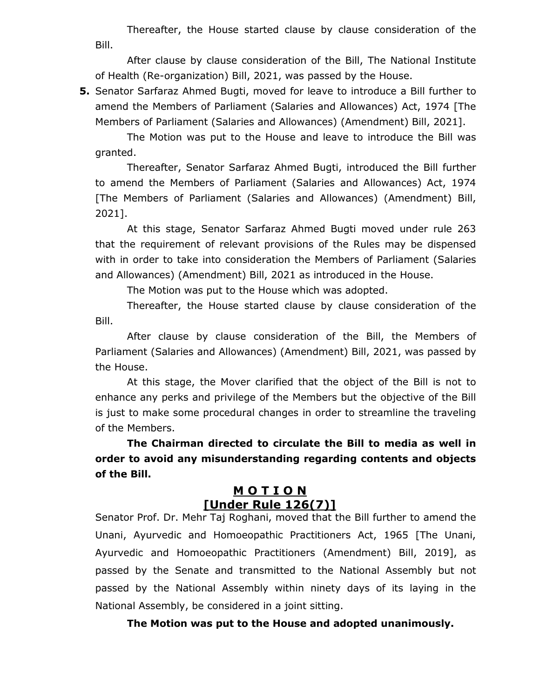Thereafter, the House started clause by clause consideration of the Bill.

After clause by clause consideration of the Bill, The National Institute of Health (Re-organization) Bill, 2021, was passed by the House.

**5.** Senator Sarfaraz Ahmed Bugti, moved for leave to introduce a Bill further to amend the Members of Parliament (Salaries and Allowances) Act, 1974 [The Members of Parliament (Salaries and Allowances) (Amendment) Bill, 2021].

The Motion was put to the House and leave to introduce the Bill was granted.

Thereafter, Senator Sarfaraz Ahmed Bugti, introduced the Bill further to amend the Members of Parliament (Salaries and Allowances) Act, 1974 [The Members of Parliament (Salaries and Allowances) (Amendment) Bill, 2021].

At this stage, Senator Sarfaraz Ahmed Bugti moved under rule 263 that the requirement of relevant provisions of the Rules may be dispensed with in order to take into consideration the Members of Parliament (Salaries and Allowances) (Amendment) Bill, 2021 as introduced in the House.

The Motion was put to the House which was adopted.

Thereafter, the House started clause by clause consideration of the Bill.

After clause by clause consideration of the Bill, the Members of Parliament (Salaries and Allowances) (Amendment) Bill, 2021, was passed by the House.

At this stage, the Mover clarified that the object of the Bill is not to enhance any perks and privilege of the Members but the objective of the Bill is just to make some procedural changes in order to streamline the traveling of the Members.

**The Chairman directed to circulate the Bill to media as well in order to avoid any misunderstanding regarding contents and objects of the Bill.**

#### **M O T I O N [Under Rule 126(7)]**

Senator Prof. Dr. Mehr Taj Roghani, moved that the Bill further to amend the Unani, Ayurvedic and Homoeopathic Practitioners Act, 1965 [The Unani, Ayurvedic and Homoeopathic Practitioners (Amendment) Bill, 2019], as passed by the Senate and transmitted to the National Assembly but not passed by the National Assembly within ninety days of its laying in the National Assembly, be considered in a joint sitting.

**The Motion was put to the House and adopted unanimously.**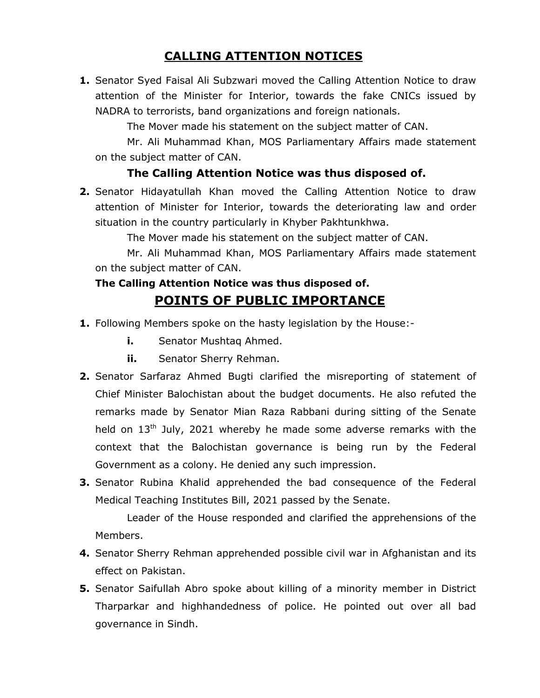### **CALLING ATTENTION NOTICES**

**1.** Senator Syed Faisal Ali Subzwari moved the Calling Attention Notice to draw attention of the Minister for Interior, towards the fake CNICs issued by NADRA to terrorists, band organizations and foreign nationals.

The Mover made his statement on the subject matter of CAN.

Mr. Ali Muhammad Khan, MOS Parliamentary Affairs made statement on the subject matter of CAN.

#### **The Calling Attention Notice was thus disposed of.**

**2.** Senator Hidayatullah Khan moved the Calling Attention Notice to draw attention of Minister for Interior, towards the deteriorating law and order situation in the country particularly in Khyber Pakhtunkhwa.

The Mover made his statement on the subject matter of CAN.

Mr. Ali Muhammad Khan, MOS Parliamentary Affairs made statement on the subject matter of CAN.

# **The Calling Attention Notice was thus disposed of.**

# **POINTS OF PUBLIC IMPORTANCE**

- **1.** Following Members spoke on the hasty legislation by the House:
	- **i.** Senator Mushtaq Ahmed.
	- **ii.** Senator Sherry Rehman.
- **2.** Senator Sarfaraz Ahmed Bugti clarified the misreporting of statement of Chief Minister Balochistan about the budget documents. He also refuted the remarks made by Senator Mian Raza Rabbani during sitting of the Senate held on 13<sup>th</sup> July, 2021 whereby he made some adverse remarks with the context that the Balochistan governance is being run by the Federal Government as a colony. He denied any such impression.
- **3.** Senator Rubina Khalid apprehended the bad consequence of the Federal Medical Teaching Institutes Bill, 2021 passed by the Senate.

Leader of the House responded and clarified the apprehensions of the Members.

- **4.** Senator Sherry Rehman apprehended possible civil war in Afghanistan and its effect on Pakistan.
- **5.** Senator Saifullah Abro spoke about killing of a minority member in District Tharparkar and highhandedness of police. He pointed out over all bad governance in Sindh.